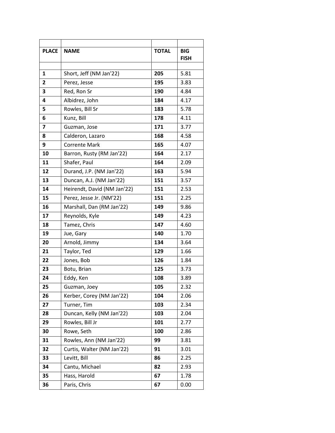| <b>PLACE</b>            | <b>NAME</b>                 | <b>TOTAL</b> | <b>BIG</b>  |
|-------------------------|-----------------------------|--------------|-------------|
|                         |                             |              | <b>FISH</b> |
| 1                       | Short, Jeff (NM Jan'22)     | 205          | 5.81        |
| $\overline{2}$          | Perez, Jesse                | 195          | 3.83        |
| 3                       | Red, Ron Sr                 | 190          | 4.84        |
| 4                       | Albidrez, John              | 184          | 4.17        |
| 5                       | Rowles, Bill Sr             | 183          | 5.78        |
| 6                       | Kunz, Bill                  | 178          | 4.11        |
| $\overline{\mathbf{z}}$ | Guzman, Jose                | 171          | 3.77        |
| 8                       | Calderon, Lazaro            | 168          | 4.58        |
| 9                       | <b>Corrente Mark</b>        | 165          | 4.07        |
| 10                      | Barron, Rusty (RM Jan'22)   | 164          | 2.17        |
| 11                      | Shafer, Paul                | 164          | 2.09        |
| 12                      | Durand, J.P. (NM Jan'22)    | 163          | 5.94        |
| 13                      | Duncan, A.J. (NM Jan'22)    | 151          | 3.57        |
| 14                      | Heirendt, David (NM Jan'22) | 151          | 2.53        |
| 15                      | Perez, Jesse Jr. (NM'22)    | 151          | 2.25        |
| 16                      | Marshall, Dan (RM Jan'22)   | 149          | 9.86        |
| 17                      | Reynolds, Kyle              | 149          | 4.23        |
| 18                      | Tamez, Chris                | 147          | 4.60        |
| 19                      | Jue, Gary                   | 140          | 1.70        |
| 20                      | Arnold, Jimmy               | 134          | 3.64        |
| 21                      | Taylor, Ted                 | 129          | 1.66        |
| 22                      | Jones, Bob                  | 126          | 1.84        |
| 23                      | Botu, Brian                 | 125          | 3.73        |
| 24                      | Eddy, Ken                   | 108          | 3.89        |
| 25                      | Guzman, Joey                | 105          | 2.32        |
| 26                      | Kerber, Corey (NM Jan'22)   | 104          | 2.06        |
| 27                      | Turner, Tim                 | 103          | 2.34        |
| 28                      | Duncan, Kelly (NM Jan'22)   | 103          | 2.04        |
| 29                      | Rowles, Bill Jr             | 101          | 2.77        |
| 30                      | Rowe, Seth                  | 100          | 2.86        |
| 31                      | Rowles, Ann (NM Jan'22)     | 99           | 3.81        |
| 32                      | Curtis, Walter (NM Jan'22)  | 91           | 3.01        |
| 33                      | Levitt, Bill                | 86           | 2.25        |
| 34                      | Cantu, Michael              | 82           | 2.93        |
| 35                      | Hass, Harold                | 67           | 1.78        |
| 36                      | Paris, Chris                | 67           | 0.00        |